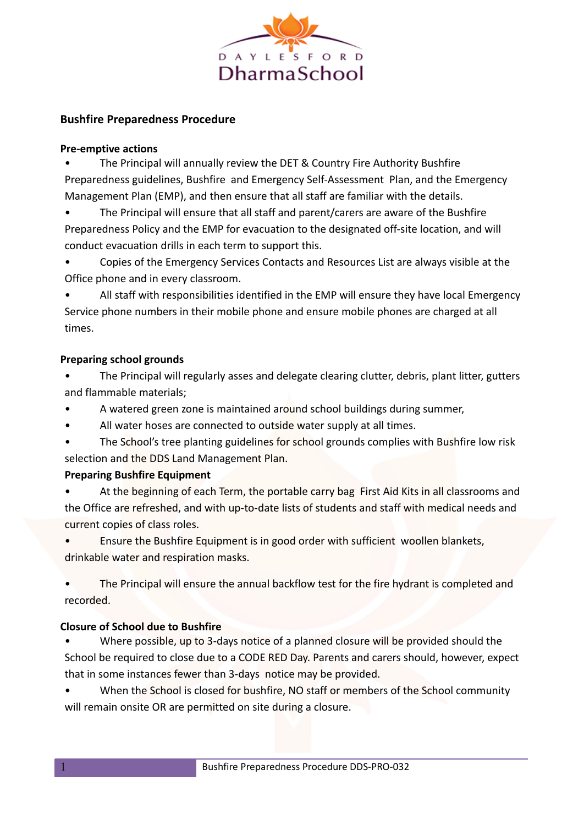

# **Bushfire Preparedness Procedure**

#### **Pre-emptive actions**

• The Principal will annually review the DET & Country Fire Authority Bushfire Preparedness guidelines, Bushfire and Emergency Self-Assessment Plan, and the Emergency Management Plan (EMP), and then ensure that all staff are familiar with the details.

• The Principal will ensure that all staff and parent/carers are aware of the Bushfire Preparedness Policy and the EMP for evacuation to the designated off-site location, and will conduct evacuation drills in each term to support this.

• Copies of the Emergency Services Contacts and Resources List are always visible at the Office phone and in every classroom.

• All staff with responsibilities identified in the EMP will ensure they have local Emergency Service phone numbers in their mobile phone and ensure mobile phones are charged at all times.

#### **Preparing school grounds**

• The Principal will regularly asses and delegate clearing clutter, debris, plant litter, gutters and flammable materials;

- A watered green zone is maintained around school buildings during summer,
- All water hoses are connected to outside water supply at all times.
- The School's tree planting guidelines for school grounds complies with Bushfire low risk selection and the DDS Land Management Plan.

## **Preparing Bushfire Equipment**

- At the beginning of each Term, the portable carry bag First Aid Kits in all classrooms and the Office are refreshed, and with up-to-date lists of students and staff with medical needs and current copies of class roles.
- Ensure the Bushfire Equipment is in good order with sufficient woollen blankets, drinkable water and respiration masks.
- The Principal will ensure the annual backflow test for the fire hydrant is completed and recorded.

## **Closure of School due to Bushfire**

- Where possible, up to 3-days notice of a planned closure will be provided should the School be required to close due to a CODE RED Day. Parents and carers should, however, expect that in some instances fewer than 3-days notice may be provided.
- When the School is closed for bushfire, NO staff or members of the School community will remain onsite OR are permitted on site during a closure.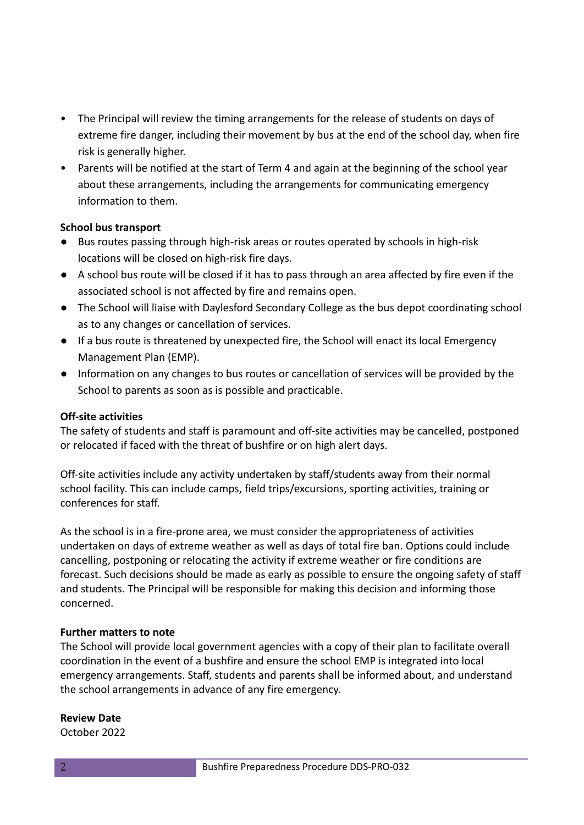- The Principal will review the timing arrangements for the release of students on days of extreme fire danger, including their movement by bus at the end of the school day, when fire risk is generally higher.
- Parents will be notified at the start of Term 4 and again at the beginning of the school year about these arrangements, including the arrangements for communicating emergency information to them.

#### **School bus transport**

- Bus routes passing through high-risk areas or routes operated by schools in high-risk locations will be closed on high-risk fire days.
- A school bus route will be closed if it has to pass through an area affected by fire even if the associated school is not affected by fire and remains open.
- The School will liaise with Daylesford Secondary College as the bus depot coordinating school as to any changes or cancellation of services.
- If a bus route is threatened by unexpected fire, the School will enact its local Emergency Management Plan (EMP).
- Information on any changes to bus routes or cancellation of services will be provided by the School to parents as soon as is possible and practicable.

## **Off-site activities**

The safety of students and staff is paramount and off-site activities may be cancelled, postponed or relocated if faced with the threat of bushfire or on high alert days.

Off-site activities include any activity undertaken by staff/students away from their normal school facility. This can include camps, field trips/excursions, sporting activities, training or conferences for staff.

As the school is in a fire-prone area, we must consider the appropriateness of activities undertaken on days of extreme weather as well as days of total fire ban. Options could include cancelling, postponing or relocating the activity if extreme weather or fire conditions are forecast. Such decisions should be made as early as possible to ensure the ongoing safety of staff and students. The Principal will be responsible for making this decision and informing those concerned.

## **Further matters to note**

The School will provide local government agencies with a copy of their plan to facilitate overall coordination in the event of a bushfire and ensure the school EMP is integrated into local emergency arrangements. Staff, students and parents shall be informed about, and understand the school arrangements in advance of any fire emergency.

#### **Review Date**

October 2022